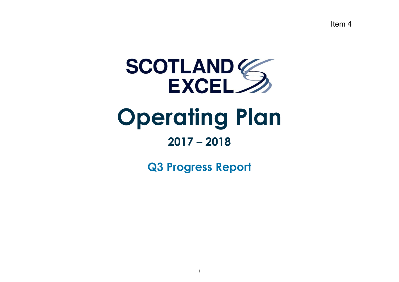Item 4



# **Operating Plan**

# **2017 – 2018**

**Q3 Progress Report**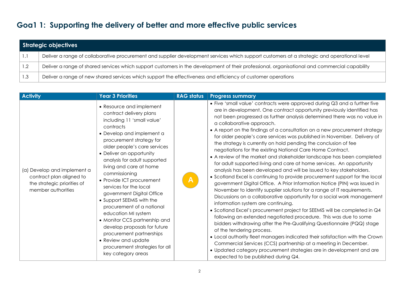### **Goa1 1: Supporting the delivery of better and more effective public services**

|     | Strategic objectives                                                                                                                          |  |  |  |  |  |
|-----|-----------------------------------------------------------------------------------------------------------------------------------------------|--|--|--|--|--|
| Ι.  | Deliver a range of collaborative procurement and supplier development services which support customers at a strategic and operational level   |  |  |  |  |  |
|     | Deliver a range of shared services which support customers in the development of their professional, organisational and commercial capability |  |  |  |  |  |
| 1.3 | Deliver a range of new shared services which support the effectiveness and efficiency of customer operations                                  |  |  |  |  |  |

| <b>Activity</b>                                                                                              | <b>Year 3 Priorities</b>                                                                                                                                                                                                                                                                                                                                                                                                                                                                                                                                                                                                                         | <b>RAG status</b> | <b>Progress summary</b>                                                                                                                                                                                                                                                                                                                                                                                                                                                                                                                                                                                                                                                                                                                                                                                                                                                                                                                                                                                                                                                                                                                                                                                                                                                                                                                                                                                                                                                                                                                                                                                                                                          |
|--------------------------------------------------------------------------------------------------------------|--------------------------------------------------------------------------------------------------------------------------------------------------------------------------------------------------------------------------------------------------------------------------------------------------------------------------------------------------------------------------------------------------------------------------------------------------------------------------------------------------------------------------------------------------------------------------------------------------------------------------------------------------|-------------------|------------------------------------------------------------------------------------------------------------------------------------------------------------------------------------------------------------------------------------------------------------------------------------------------------------------------------------------------------------------------------------------------------------------------------------------------------------------------------------------------------------------------------------------------------------------------------------------------------------------------------------------------------------------------------------------------------------------------------------------------------------------------------------------------------------------------------------------------------------------------------------------------------------------------------------------------------------------------------------------------------------------------------------------------------------------------------------------------------------------------------------------------------------------------------------------------------------------------------------------------------------------------------------------------------------------------------------------------------------------------------------------------------------------------------------------------------------------------------------------------------------------------------------------------------------------------------------------------------------------------------------------------------------------|
| (a) Develop and implement a<br>contract plan aligned to<br>the strategic priorities of<br>member authorities | • Resource and implement<br>contract delivery plans<br>including 11 'small value'<br>contracts<br>• Develop and implement a<br>procurement strategy for<br>older people's care services<br>• Deliver an opportunity<br>analysis for adult supported<br>living and care at home<br>commissioning<br>• Provide ICT procurement<br>services for the local<br>government Digital Office<br>• Support SEEMIS with the<br>procurement of a national<br>education MI system<br>• Monitor CCS partnership and<br>develop proposals for future<br>procurement partnerships<br>• Review and update<br>procurement strategies for all<br>key category areas | A                 | • Five 'small value' contracts were approved during Q3 and a further five<br>are in development. One contract opportunity previously identified has<br>not been progressed as further analysis determined there was no value in<br>a collaborative approach.<br>• A report on the findings of a consultation on a new procurement strategy<br>for older people's care services was published in November. Delivery of<br>the strategy is currently on hold pending the conclusion of fee<br>negotiations for the existing National Care Home Contract.<br>• A review of the market and stakeholder landscape has been completed<br>for adult supported living and care at home services. An opportunity<br>analysis has been developed and will be issued to key stakeholders.<br>• Scotland Excel is continuing to provide procurement support for the local<br>government Digital Office. A Prior Information Notice (PIN) was issued in<br>November to identify supplier solutions for a range of IT requirements.<br>Discussions on a collaborative opportunity for a social work management<br>information system are continuing.<br>• Scotland Excel's procurement project for SEEMiS will be completed in Q4<br>following an extended negotiated procedure. This was due to some<br>bidders withdrawing after the Pre-Qualifying Questionnaire (PQQ) stage<br>of the tendering process.<br>• Local authority fleet managers indicated their satisfaction with the Crown<br>Commercial Services (CCS) partnership at a meeting in December.<br>• Updated category procurement strategies are in development and are<br>expected to be published during Q4. |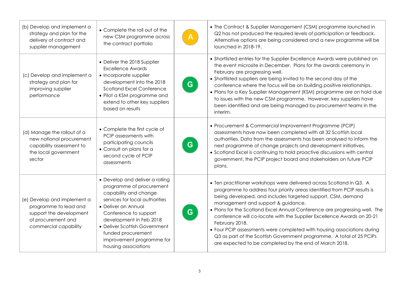| (b) Develop and implement a<br>strategy and plan for the<br>delivery of contract and<br>supplier management                    | • Complete the roll out of the<br>new CSM programme across<br>the contract portfolio                                                                                                                                                                                                                          |   | • The Contract & Supplier Management (CSM) programme launched in<br>Q2 has not produced the required levels of participation or feedback.<br>Alternative options are being considered and a new programme will be<br>launched in 2018-19.                                                                                                                                                                                                                                                                                                                                                                                                    |
|--------------------------------------------------------------------------------------------------------------------------------|---------------------------------------------------------------------------------------------------------------------------------------------------------------------------------------------------------------------------------------------------------------------------------------------------------------|---|----------------------------------------------------------------------------------------------------------------------------------------------------------------------------------------------------------------------------------------------------------------------------------------------------------------------------------------------------------------------------------------------------------------------------------------------------------------------------------------------------------------------------------------------------------------------------------------------------------------------------------------------|
| (c) Develop and implement a<br>strategy and plan for<br>improving supplier<br>performance                                      | • Deliver the 2018 Supplier<br><b>Excellence Awards</b><br>• Incorporate supplier<br>development into the 2018<br><b>Scotland Excel Conference</b><br>• Pilot a KSM programme and<br>extend to other key suppliers<br>based on results                                                                        | G | • Shortlisted entries for the Supplier Excellence Awards were published on<br>the event microsite in December. Plans for the awards ceremony in<br>February are progressing well.<br>• Shortlisted suppliers are being invited to the second day of the<br>conference where the focus will be on building positive relationships.<br>. Plans for a Key Supplier Management (KSM) programme are on hold due<br>to issues with the new CSM programme. However, key suppliers have<br>been identified and are being managed by procurement teams in the<br>interim.                                                                             |
| (d) Manage the rollout of a<br>new national procurement<br>capability assessment to<br>the local government<br>sector          | • Complete the first cycle of<br>PCIP assessments with<br>participating councils<br>• Consult on plans for a<br>second cycle of PCIP<br>assessments                                                                                                                                                           | G | • Procurement & Commercial Improvement Programme (PCIP)<br>assessments have now been completed with all 32 Scottish local<br>authorities. Data from the assessments has been analysed to inform the<br>next programme of change projects and development initiatives.<br>• Scotland Excel is continuing to hold proactive discussions with central<br>government, the PCIP project board and stakeholders on future PCIP<br>plans.                                                                                                                                                                                                           |
| (e) Develop and implement a<br>programme to lead and<br>support the development<br>of procurement and<br>commercial capability | • Develop and deliver a rolling<br>programme of procurement<br>capability and change<br>services for local authorities<br>• Deliver an Annual<br>Conference to support<br>development in Feb 2018<br>• Deliver Scottish Government<br>funded procurement<br>improvement programme for<br>housing associations | G | • Ten practitioner workshops were delivered across Scotland in Q3. A<br>programme to address four priority areas identified from PCIP results is<br>being developed, and includes targeted support, CSM, demand<br>management and support & guidance.<br>. Plans for the Scotland Excel Annual Conference are progressing well. The<br>conference will co-locate with the Supplier Excellence Awards on 20-21<br>February 2018.<br>• Four PCIP assessments were completed with housing associations during<br>Q3 as part of the Scottish Government programme. A total of 25 PCIPs<br>are expected to be completed by the end of March 2018. |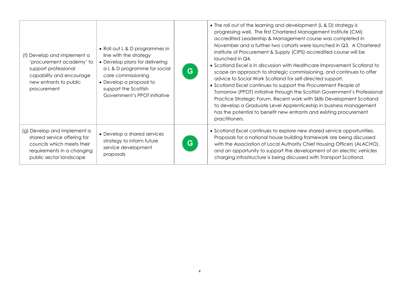| (f) Develop and implement a<br>'procurement academy' to<br>support professional<br>capability and encourage<br>new entrants to public<br>procurement | • Roll out L & D programmes in<br>line with the strategy<br>• Develop plans for delivering<br>a L & D programme for social<br>care commissioning<br>• Develop a proposal to<br>support the Scottish<br>Government's PPOT initiative | G | • The roll out of the learning and development (L & D) strategy is<br>progressing well. The first Chartered Management Institute (CMI)<br>accredited Leadership & Management course was completed in<br>November and a further two cohorts were launched in Q3. A Chartered<br>Institute of Procurement & Supply (CIPS) accredited course will be<br>launched in Q4.<br>• Scotland Excel is in discussion with Healthcare Improvement Scotland to<br>scope an approach to strategic commissioning, and continues to offer<br>advice to Social Work Scotland for self-directed support.<br>• Scotland Excel continues to support the Procurement People of<br>Tomorrow (PPOT) initiative through the Scottish Government's Professional<br>Practice Strategic Forum. Recent work with Skills Development Scotland<br>to develop a Graduate Level Apprenticeship in business management<br>has the potential to benefit new entrants and existing procurement<br>practitioners. |
|------------------------------------------------------------------------------------------------------------------------------------------------------|-------------------------------------------------------------------------------------------------------------------------------------------------------------------------------------------------------------------------------------|---|-------------------------------------------------------------------------------------------------------------------------------------------------------------------------------------------------------------------------------------------------------------------------------------------------------------------------------------------------------------------------------------------------------------------------------------------------------------------------------------------------------------------------------------------------------------------------------------------------------------------------------------------------------------------------------------------------------------------------------------------------------------------------------------------------------------------------------------------------------------------------------------------------------------------------------------------------------------------------------|
| (g) Develop and implement a<br>shared service offering for<br>councils which meets their<br>requirements in a changing<br>public sector landscape    | • Develop a shared services<br>strategy to inform future<br>service development<br>proposals                                                                                                                                        | G | • Scotland Excel continues to explore new shared service opportunities.<br>Proposals for a national house building framework are being discussed<br>with the Association of Local Authority Chief Housing Officers (ALACHO),<br>and an opportunity to support the development of an electric vehicles<br>charging infrastructure is being discussed with Transport Scotland.                                                                                                                                                                                                                                                                                                                                                                                                                                                                                                                                                                                                  |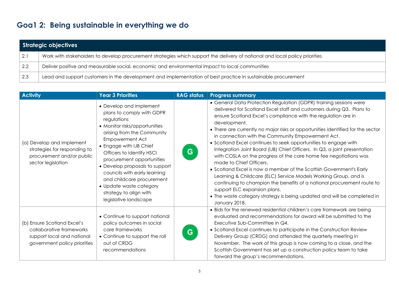## **Goa1 2: Being sustainable in everything we do**

|                   | Strategic objectives                                                                                                        |  |  |  |  |  |
|-------------------|-----------------------------------------------------------------------------------------------------------------------------|--|--|--|--|--|
| $\vert 2.1 \vert$ | Work with stakeholders to develop procurement strategies which support the delivery of national and local policy priorities |  |  |  |  |  |
| $\vert 2.2 \vert$ | Deliver positive and measurable social, economic and environmental impact to local communities                              |  |  |  |  |  |
| 2.3               | Lead and support customers in the development and implementation of best practice in sustainable procurement                |  |  |  |  |  |

| <b>Activity</b>                                                                                                       | <b>Year 3 Priorities</b>                                                                                                                                                                                                                                                                                                                                                                                                       | <b>RAG status</b> | <b>Progress summary</b>                                                                                                                                                                                                                                                                                                                                                                                                                                                                                                                                                                                                                                                                                                                                                                                                                                                                                                                                            |
|-----------------------------------------------------------------------------------------------------------------------|--------------------------------------------------------------------------------------------------------------------------------------------------------------------------------------------------------------------------------------------------------------------------------------------------------------------------------------------------------------------------------------------------------------------------------|-------------------|--------------------------------------------------------------------------------------------------------------------------------------------------------------------------------------------------------------------------------------------------------------------------------------------------------------------------------------------------------------------------------------------------------------------------------------------------------------------------------------------------------------------------------------------------------------------------------------------------------------------------------------------------------------------------------------------------------------------------------------------------------------------------------------------------------------------------------------------------------------------------------------------------------------------------------------------------------------------|
| (a) Develop and implement<br>strategies for responding to<br>procurement and/or public<br>sector legislation          | • Develop and implement<br>plans to comply with GDPR<br>regulations<br>• Monitor risks/opportunities<br>arising from the Community<br><b>Empowerment Act</b><br>• Engage with IJB Chief<br>Officers to identify HSCI<br>procurement opportunities<br>• Develop proposals to support<br>councils with early learning<br>and childcare procurement<br>• Update waste category<br>strategy to align with<br>legislative landscape | G                 | • General Data Protection Regulation (GDPR) training sessions were<br>delivered for Scotland Excel staff and customers during Q3. Plans to<br>ensure Scotland Excel's compliance with the regulation are in<br>development.<br>• There are currently no major risks or opportunities identified for the sector<br>in connection with the Community Empowerment Act.<br>• Scotland Excel continues to seek opportunities to engage with<br>Integration Joint Board (IJB) Chief Officers. In Q3, a joint presentation<br>with COSLA on the progress of the care home fee negotiations was<br>made to Chief Officers.<br>• Scotland Excel is now a member of the Scottish Government's Early<br>Learning & Childcare (ELC) Service Models Working Group, and is<br>continuing to champion the benefits of a national procurement route to<br>support ELC expansion plans.<br>• The waste category strategy is being updated and will be completed in<br>January 2018. |
| (b) Ensure Scotland Excel's<br>collaborative frameworks<br>support local and national<br>government policy priorities | • Continue to support national<br>policy outcomes in social<br>care frameworks<br>• Continue to support the roll<br>out of CRDG<br>recommendations                                                                                                                                                                                                                                                                             | G                 | • Bids for the renewed residential children's care framework are being<br>evaluated and recommendations for award will be submitted to the<br>Executive Sub-Committee in Q4.<br>• Scotland Excel continues to participate in the Construction Review<br>Delivery Group (CRDG) and attended the quarterly meeting in<br>November. The work of this group is now coming to a close, and the<br>Scottish Government has set up a construction policy team to take<br>forward the group's recommendations.                                                                                                                                                                                                                                                                                                                                                                                                                                                             |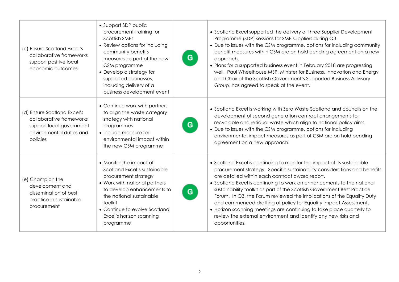| (c) Ensure Scotland Excel's<br>collaborative frameworks<br>support positive local<br>economic outcomes                      | • Support SDP public<br>procurement training for<br><b>Scottish SMEs</b><br>• Review options for including<br>community benefits<br>measures as part of the new<br>CSM programme<br>• Develop a strategy for<br>supported businesses,<br>including delivery of a<br>business development event | G | • Scotland Excel supported the delivery of three Supplier Development<br>Programme (SDP) sessions for SME suppliers during Q3.<br>• Due to issues with the CSM programme, options for including community<br>benefit measures within CSM are on hold pending agreement on a new<br>approach.<br>• Plans for a supported business event in February 2018 are progressing<br>well. Paul Wheelhouse MSP, Minister for Business, Innovation and Energy<br>and Chair of the Scottish Government's Supported Business Advisory<br>Group, has agreed to speak at the event.                                                                                                    |
|-----------------------------------------------------------------------------------------------------------------------------|------------------------------------------------------------------------------------------------------------------------------------------------------------------------------------------------------------------------------------------------------------------------------------------------|---|-------------------------------------------------------------------------------------------------------------------------------------------------------------------------------------------------------------------------------------------------------------------------------------------------------------------------------------------------------------------------------------------------------------------------------------------------------------------------------------------------------------------------------------------------------------------------------------------------------------------------------------------------------------------------|
| (d) Ensure Scotland Excel's<br>collaborative frameworks<br>support local government<br>environmental duties and<br>policies | • Continue work with partners<br>to align the waste category<br>strategy with national<br>programmes<br>• Include measure for<br>environmental impact within<br>the new CSM programme                                                                                                          | G | • Scotland Excel is working with Zero Waste Scotland and councils on the<br>development of second generation contract arrangements for<br>recyclable and residual waste which align to national policy aims.<br>• Due to issues with the CSM programme, options for including<br>environmental impact measures as part of CSM are on hold pending<br>agreement on a new approach.                                                                                                                                                                                                                                                                                       |
| (e) Champion the<br>development and<br>dissemination of best<br>practice in sustainable<br>procurement                      | • Monitor the impact of<br>Scotland Excel's sustainable<br>procurement strategy<br>• Work with national partners<br>to develop enhancements to<br>the national sustainable<br>toolkit<br>• Continue to evolve Scotland<br>Excel's horizon scanning<br>programme                                | G | • Scotland Excel is continuing to monitor the impact of its sustainable<br>procurement strategy. Specific sustainability considerations and benefits<br>are detailed within each contract award report.<br>• Scotland Excel is continuing to work on enhancements to the national<br>sustainability toolkit as part of the Scottish Government Best Practice<br>Forum. In Q3, the Forum reviewed the implications of the Equality Duty<br>and commenced drafting of policy for Equality Impact Assessment.<br>• Horizon scanning meetings are continuing to take place quarterly to<br>review the external environment and identify any new risks and<br>opportunities. |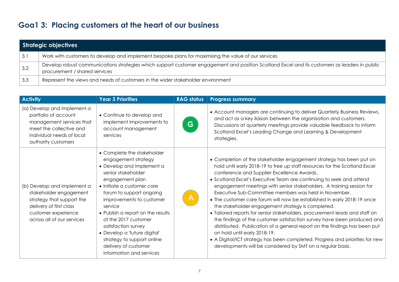# `**Goa1 3: Placing customers at the heart of our business**

|                   | Strategic objectives                                                                                                                                                           |
|-------------------|--------------------------------------------------------------------------------------------------------------------------------------------------------------------------------|
| 3.1               | Work with customers to develop and implement bespoke plans for maximising the value of our services                                                                            |
| $\vert 3.2 \vert$ | Develop robust communications strategies which support customer engagement and position Scotland Excel and its customers as leaders in public<br>procurement / shared services |
| 3.3               | Represent the views and needs of customers in the wider stakeholder environment                                                                                                |

| <b>Activity</b>                                                                                                                                                    | <b>Year 3 Priorities</b>                                                                                                                                                                                                                                                                                                                                                                                                       | <b>RAG status</b> | <b>Progress summary</b>                                                                                                                                                                                                                                                                                                                                                                                                                                                                                                                                                                                                                                                                                                                                                                                                                                                                                                                                     |
|--------------------------------------------------------------------------------------------------------------------------------------------------------------------|--------------------------------------------------------------------------------------------------------------------------------------------------------------------------------------------------------------------------------------------------------------------------------------------------------------------------------------------------------------------------------------------------------------------------------|-------------------|-------------------------------------------------------------------------------------------------------------------------------------------------------------------------------------------------------------------------------------------------------------------------------------------------------------------------------------------------------------------------------------------------------------------------------------------------------------------------------------------------------------------------------------------------------------------------------------------------------------------------------------------------------------------------------------------------------------------------------------------------------------------------------------------------------------------------------------------------------------------------------------------------------------------------------------------------------------|
| (a) Develop and implement a<br>portfolio of account<br>management services that<br>meet the collective and<br>individual needs of local<br>authority customers     | • Continue to develop and<br>implement improvements to<br>account management<br>services                                                                                                                                                                                                                                                                                                                                       | G                 | • Account managers are continuing to deliver Quarterly Business Reviews,<br>and act as a key liaison between the organisation and customers.<br>Discussions at quarterly meetings provide valuable feedback to inform<br>Scotland Excel's Leading Change and Learning & Development<br>strategies.                                                                                                                                                                                                                                                                                                                                                                                                                                                                                                                                                                                                                                                          |
| (b) Develop and implement a<br>stakeholder engagement<br>strategy that support the<br>delivery of first class<br>customer experience<br>across all of our services | • Complete the stakeholder<br>engagement strategy<br>• Develop and implement a<br>senior stakeholder<br>engagement plan<br>• Initiate a customer care<br>forum to support ongoing<br>improvements to customer<br>service<br>• Publish a report on the results<br>of the 2017 customer<br>satisfaction survey<br>• Develop a 'future digital'<br>strategy to support online<br>delivery of customer<br>information and services | $\mathsf{A}$      | • Completion of the stakeholder engagement strategy has been put on<br>hold until early 2018-19 to free up staff resources for the Scotland Excel<br>conference and Supplier Excellence Awards.<br>• Scotland Excel's Executive Team are continuing to seek and attend<br>engagement meetings with senior stakeholders. A training session for<br>Executive Sub-Committee members was held in November.<br>• The customer care forum will now be established in early 2018-19 once<br>the stakeholder engagement strategy is completed.<br>• Tailored reports for senior stakeholders, procurement leads and staff on<br>the findings of the customer satisfaction survey have been produced and<br>distributed. Publication of a general report on the findings has been put<br>on hold until early 2018-19.<br>• A Digital/ICT strategy has been completed. Progress and priorities for new<br>developments will be considered by SMT on a regular basis. |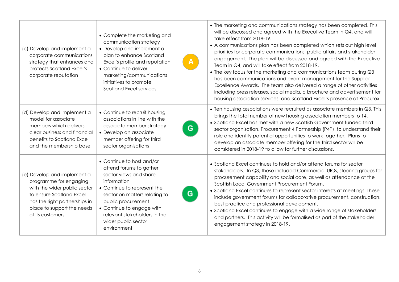| (c) Develop and implement a<br>corporate communications<br>strategy that enhances and<br>protects Scotland Excel's<br>corporate reputation                                                           | • Complete the marketing and<br>communication strategy<br>• Develop and implement a<br>plan to enhance Scotland<br>Excel's profile and reputation<br>• Continue to deliver<br>marketing/communications<br>initiatives to promote<br><b>Scotland Excel services</b>                     |   | • The marketing and communications strategy has been completed. This<br>will be discussed and agreed with the Executive Team in Q4, and will<br>take effect from 2018-19.<br>• A communications plan has been completed which sets out high level<br>priorities for corporate communications, public affairs and stakeholder<br>engagement. The plan will be discussed and agreed with the Executive<br>Team in Q4, and will take effect from 2018-19.<br>• The key focus for the marketing and communications team during Q3<br>has been communications and event management for the Supplier<br>Excellence Awards. The team also delivered a range of other activities<br>including press releases, social media, a brochure and advertisement for<br>housing association services, and Scotland Excel's presence at Procurex. |
|------------------------------------------------------------------------------------------------------------------------------------------------------------------------------------------------------|----------------------------------------------------------------------------------------------------------------------------------------------------------------------------------------------------------------------------------------------------------------------------------------|---|----------------------------------------------------------------------------------------------------------------------------------------------------------------------------------------------------------------------------------------------------------------------------------------------------------------------------------------------------------------------------------------------------------------------------------------------------------------------------------------------------------------------------------------------------------------------------------------------------------------------------------------------------------------------------------------------------------------------------------------------------------------------------------------------------------------------------------|
| (d) Develop and implement a<br>model for associate<br>members which delivers<br>clear business and financial<br>benefits to Scotland Excel<br>and the membership base                                | • Continue to recruit housing<br>associations in line with the<br>associate member strategy<br>• Develop an associate<br>member offering for third<br>sector organisations                                                                                                             | G | • Ten housing associations were recruited as associate members in Q3. This<br>brings the total number of new housing association members to 14.<br>• Scotland Excel has met with a new Scottish Government funded third<br>sector organisation, Procurement 4 Partnership (P4P), to understand their<br>role and identify potential opportunities to work together. Plans to<br>develop an associate member offering for the third sector will be<br>considered in 2018-19 to allow for further discussions.                                                                                                                                                                                                                                                                                                                     |
| (e) Develop and implement a<br>programme for engaging<br>with the wider public sector<br>to ensure Scotland Excel<br>has the right partnerships in<br>place to support the needs<br>of its customers | • Continue to host and/or<br>attend forums to gather<br>sector views and share<br>information<br>• Continue to represent the<br>sector on matters relating to<br>public procurement<br>• Continue to engage with<br>relevant stakeholders in the<br>wider public sector<br>environment | G | • Scotland Excel continues to hold and/or attend forums for sector<br>stakeholders. In Q3, these included Commercial UIGs, steering groups for<br>procurement capability and social care, as well as attendance at the<br>Scottish Local Government Procurement Forum.<br>• Scotland Excel continues to represent sector interests at meetings. These<br>include government forums for collaborative procurement, construction,<br>best practice and professional development.<br>• Scotland Excel continues to engage with a wide range of stakeholders<br>and partners. This activity will be formalised as part of the stakeholder<br>engagement strategy in 2018-19.                                                                                                                                                         |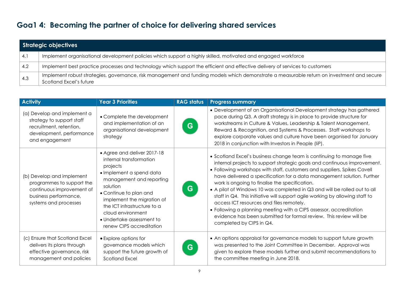### **Goa1 4: Becoming the partner of choice for delivering shared services**

|     | Strategic objectives                                                                                                                                                  |
|-----|-----------------------------------------------------------------------------------------------------------------------------------------------------------------------|
| 4.1 | Implement organisational development policies which support a highly skilled, motivated and engaged workforce                                                         |
| 4.2 | Implement best practice processes and technology which support the efficient and effective delivery of services to customers                                          |
| 4.3 | Implement robust strategies, governance, risk management and funding models which demonstrate a measurable return on investment and secure<br>Scotland Excel's future |

| <b>Activity</b>                                                                                                                       | <b>Year 3 Priorities</b>                                                                                                                                                                                                                                                                                    | <b>RAG status</b> | <b>Progress summary</b>                                                                                                                                                                                                                                                                                                                                                                                                                                                                                                                                                                                                                                                                                                                      |
|---------------------------------------------------------------------------------------------------------------------------------------|-------------------------------------------------------------------------------------------------------------------------------------------------------------------------------------------------------------------------------------------------------------------------------------------------------------|-------------------|----------------------------------------------------------------------------------------------------------------------------------------------------------------------------------------------------------------------------------------------------------------------------------------------------------------------------------------------------------------------------------------------------------------------------------------------------------------------------------------------------------------------------------------------------------------------------------------------------------------------------------------------------------------------------------------------------------------------------------------------|
| (a) Develop and implement a<br>strategy to support staff<br>recruitment, retention,<br>development, performance<br>and engagement     | • Complete the development<br>and implementation of an<br>organisational development<br>strategy                                                                                                                                                                                                            | G                 | • Development of an Organisational Development strategy has gathered<br>pace during Q3. A draft strategy is in place to provide structure for<br>workstreams in Culture & Values, Leadership & Talent Management,<br>Reward & Recognition, and Systems & Processes. Staff workshops to<br>explore corporate values and culture have been organised for January<br>2018 in conjunction with Investors in People (IiP).                                                                                                                                                                                                                                                                                                                        |
| (b) Develop and implement<br>programmes to support the<br>continuous improvement of<br>business performance,<br>systems and processes | • Agree and deliver 2017-18<br>internal transformation<br>projects<br>• Implement a spend data<br>management and reporting<br>solution<br>• Continue to plan and<br>implement the migration of<br>the ICT infrastructure to a<br>cloud environment<br>• Undertake assessment to<br>renew CIPS accreditation | G                 | • Scotland Excel's business change team is continuing to manage five<br>internal projects to support strategic goals and continuous improvement.<br>• Following workshops with staff, customers and suppliers, Spikes Cavell<br>have delivered a specification for a data management solution. Further<br>work is ongoing to finalise the specification.<br>• A pilot of Windows 10 was completed in Q3 and will be rolled out to all<br>staff in Q4. This initiative will support agile working by allowing staff to<br>access ICT resources and files remotely.<br>• Following a planning meeting with a CIPS assessor, accreditation<br>evidence has been submitted for formal review. This review will be<br>completed by CIPS in $Q4$ . |
| (c) Ensure that Scotland Excel<br>delivers its plans through<br>effective governance, risk<br>management and policies                 | • Explore options for<br>governance models which<br>support the future growth of<br><b>Scotland Excel</b>                                                                                                                                                                                                   | G                 | • An options appraisal for governance models to support future growth<br>was presented to the Joint Committee in December. Approval was<br>given to explore these models further and submit recommendations to<br>the committee meeting in June 2018.                                                                                                                                                                                                                                                                                                                                                                                                                                                                                        |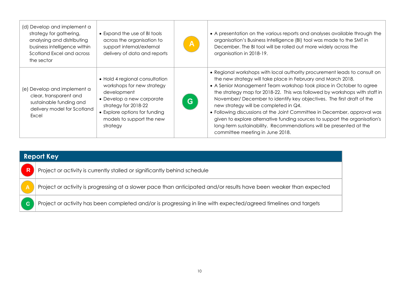| (d) Develop and implement a<br>strategy for gathering,<br>analysing and distributing<br>business intelligence within<br>Scotland Excel and across<br>the sector | • Expand the use of BI tools<br>across the organisation to<br>support internal/external<br>delivery of data and reports                                                                                    | $\mathsf{A}$ | • A presentation on the various reports and analyses available through the<br>organisation's Business Intelligence (BI) tool was made to the SMT in<br>December. The BI tool will be rolled out more widely across the<br>organisation in 2018-19.                                                                                                                                                                                                                                                                                                                                                                                                                                |
|-----------------------------------------------------------------------------------------------------------------------------------------------------------------|------------------------------------------------------------------------------------------------------------------------------------------------------------------------------------------------------------|--------------|-----------------------------------------------------------------------------------------------------------------------------------------------------------------------------------------------------------------------------------------------------------------------------------------------------------------------------------------------------------------------------------------------------------------------------------------------------------------------------------------------------------------------------------------------------------------------------------------------------------------------------------------------------------------------------------|
| (e) Develop and implement a<br>clear, transparent and<br>sustainable funding and<br>delivery model for Scotland<br>Excel                                        | • Hold 4 regional consultation<br>workshops for new strategy<br>development<br>• Develop a new corporate<br>strategy for 2018-22<br>• Explore options for funding<br>models to support the new<br>strategy | G.           | • Regional workshops with local authority procurement leads to consult on<br>the new strategy will take place in February and March 2018.<br>• A Senior Management Team workshop took place in October to agree<br>the strategy map for 2018-22. This was followed by workshops with staff in<br>November/December to identify key objectives. The first draft of the<br>new strategy will be completed in Q4.<br>• Following discussions at the Joint Committee in December, approval was<br>given to explore alternative funding sources to support the organisation's<br>long-term sustainability. Recommendations will be presented at the<br>committee meeting in June 2018. |

| <b>Report Key</b>       |                                                                                                                    |  |  |  |
|-------------------------|--------------------------------------------------------------------------------------------------------------------|--|--|--|
| $\overline{\mathbf{R}}$ | Project or activity is currently stalled or significantly behind schedule                                          |  |  |  |
|                         | Project or activity is progressing at a slower pace than anticipated and/or results have been weaker than expected |  |  |  |
| $\mathbf G$             | Project or activity has been completed and/or is progressing in line with expected/agreed timelines and targets    |  |  |  |